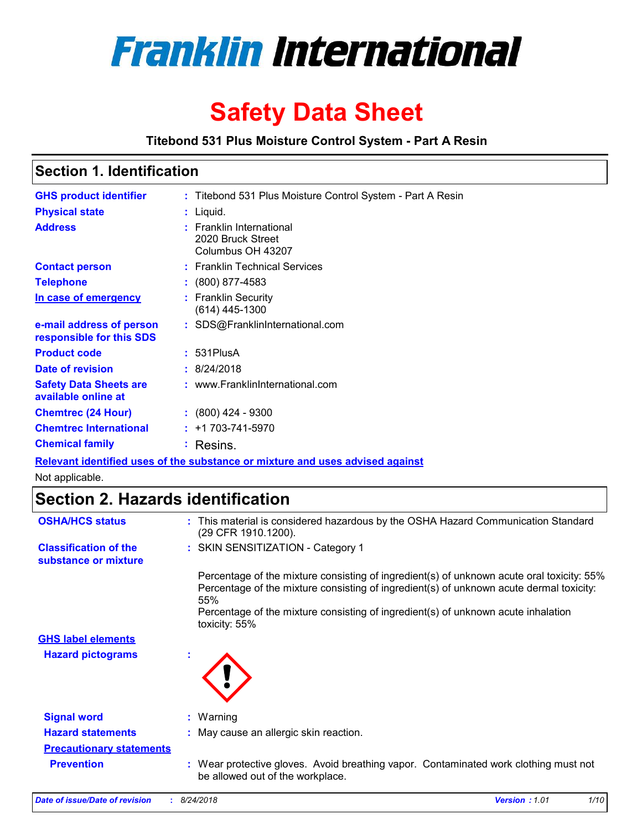

# **Safety Data Sheet**

**Titebond 531 Plus Moisture Control System - Part A Resin**

## **Section 1. Identification**

| <b>GHS product identifier</b><br><b>Physical state</b> | : Titebond 531 Plus Moisture Control System - Part A Resin<br>$:$ Liquid. |
|--------------------------------------------------------|---------------------------------------------------------------------------|
| <b>Address</b>                                         | <b>Franklin International</b><br>2020 Bruck Street<br>Columbus OH 43207   |
| <b>Contact person</b>                                  | : Franklin Technical Services                                             |
| <b>Telephone</b>                                       | : (800) 877-4583                                                          |
| In case of emergency                                   | <b>Franklin Security</b><br>(614) 445-1300                                |
| e-mail address of person<br>responsible for this SDS   | : SDS@FranklinInternational.com                                           |
| <b>Product code</b>                                    | $: 531$ PlusA                                                             |
| <b>Date of revision</b>                                | : 8/24/2018                                                               |
| <b>Safety Data Sheets are</b><br>available online at   | : www.FranklinInternational.com                                           |
| <b>Chemtrec (24 Hour)</b>                              | $: (800)$ 424 - 9300                                                      |
| <b>Chemtrec International</b>                          | $: +1703 - 741 - 5970$                                                    |
| <b>Chemical family</b>                                 | Resins.                                                                   |

**Relevant identified uses of the substance or mixture and uses advised against**

Not applicable.

## **Section 2. Hazards identification**

| <b>OSHA/HCS status</b>                               | : This material is considered hazardous by the OSHA Hazard Communication Standard<br>(29 CFR 1910.1200).                                                                                                                                                                                          |
|------------------------------------------------------|---------------------------------------------------------------------------------------------------------------------------------------------------------------------------------------------------------------------------------------------------------------------------------------------------|
| <b>Classification of the</b><br>substance or mixture | : SKIN SENSITIZATION - Category 1                                                                                                                                                                                                                                                                 |
|                                                      | Percentage of the mixture consisting of ingredient(s) of unknown acute oral toxicity: 55%<br>Percentage of the mixture consisting of ingredient(s) of unknown acute dermal toxicity:<br>55%<br>Percentage of the mixture consisting of ingredient(s) of unknown acute inhalation<br>toxicity: 55% |
| <b>GHS label elements</b>                            |                                                                                                                                                                                                                                                                                                   |
| <b>Hazard pictograms</b>                             |                                                                                                                                                                                                                                                                                                   |
| <b>Signal word</b>                                   | $:$ Warning                                                                                                                                                                                                                                                                                       |
| <b>Hazard statements</b>                             | : May cause an allergic skin reaction.                                                                                                                                                                                                                                                            |
| <b>Precautionary statements</b>                      |                                                                                                                                                                                                                                                                                                   |
| <b>Prevention</b>                                    | : Wear protective gloves. Avoid breathing vapor. Contaminated work clothing must not<br>be allowed out of the workplace.                                                                                                                                                                          |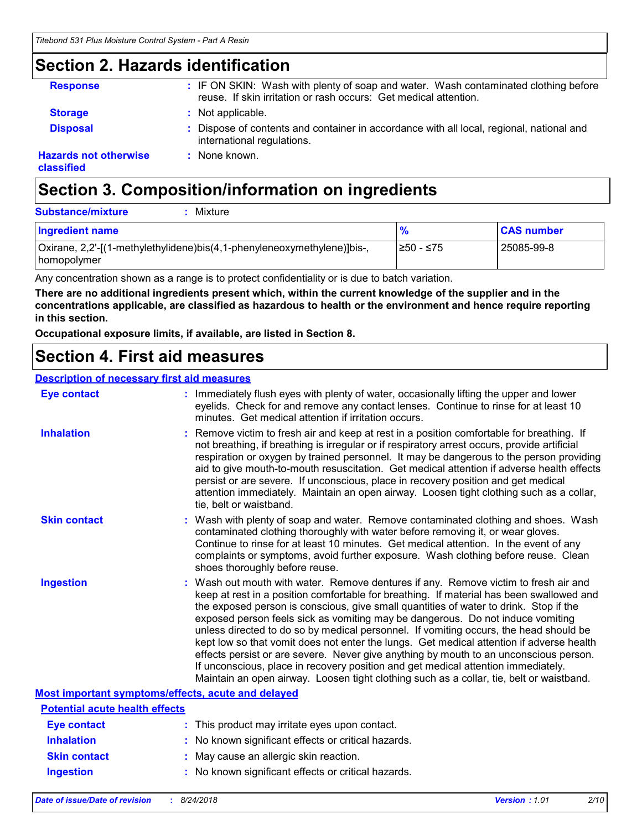## **Section 2. Hazards identification**

| <b>Response</b>                            | : IF ON SKIN: Wash with plenty of soap and water. Wash contaminated clothing before<br>reuse. If skin irritation or rash occurs: Get medical attention. |
|--------------------------------------------|---------------------------------------------------------------------------------------------------------------------------------------------------------|
| <b>Storage</b>                             | : Not applicable.                                                                                                                                       |
| <b>Disposal</b>                            | : Dispose of contents and container in accordance with all local, regional, national and<br>international regulations.                                  |
| <b>Hazards not otherwise</b><br>classified | : None known.                                                                                                                                           |

## **Section 3. Composition/information on ingredients**

| <b>Substance/mixture</b><br>Mixture                                                      |               |                   |
|------------------------------------------------------------------------------------------|---------------|-------------------|
| Ingredient name                                                                          | $\frac{9}{6}$ | <b>CAS number</b> |
| Oxirane, 2,2'-[(1-methylethylidene)bis(4,1-phenyleneoxymethylene)]bis-,<br>  homopolymer | l≥50 - ≤75    | l 25085-99-8      |

Any concentration shown as a range is to protect confidentiality or is due to batch variation.

**There are no additional ingredients present which, within the current knowledge of the supplier and in the concentrations applicable, are classified as hazardous to health or the environment and hence require reporting in this section.**

**Occupational exposure limits, if available, are listed in Section 8.**

## **Section 4. First aid measures**

### **Description of necessary first aid measures**

| <b>Eye contact</b>                                 | : Immediately flush eyes with plenty of water, occasionally lifting the upper and lower<br>eyelids. Check for and remove any contact lenses. Continue to rinse for at least 10<br>minutes. Get medical attention if irritation occurs.                                                                                                                                                                                                                                                                                                                                                                                                                                                                                                                                                                                    |
|----------------------------------------------------|---------------------------------------------------------------------------------------------------------------------------------------------------------------------------------------------------------------------------------------------------------------------------------------------------------------------------------------------------------------------------------------------------------------------------------------------------------------------------------------------------------------------------------------------------------------------------------------------------------------------------------------------------------------------------------------------------------------------------------------------------------------------------------------------------------------------------|
| <b>Inhalation</b>                                  | : Remove victim to fresh air and keep at rest in a position comfortable for breathing. If<br>not breathing, if breathing is irregular or if respiratory arrest occurs, provide artificial<br>respiration or oxygen by trained personnel. It may be dangerous to the person providing<br>aid to give mouth-to-mouth resuscitation. Get medical attention if adverse health effects<br>persist or are severe. If unconscious, place in recovery position and get medical<br>attention immediately. Maintain an open airway. Loosen tight clothing such as a collar,<br>tie, belt or waistband.                                                                                                                                                                                                                              |
| <b>Skin contact</b>                                | : Wash with plenty of soap and water. Remove contaminated clothing and shoes. Wash<br>contaminated clothing thoroughly with water before removing it, or wear gloves.<br>Continue to rinse for at least 10 minutes. Get medical attention. In the event of any<br>complaints or symptoms, avoid further exposure. Wash clothing before reuse. Clean<br>shoes thoroughly before reuse.                                                                                                                                                                                                                                                                                                                                                                                                                                     |
| <b>Ingestion</b>                                   | : Wash out mouth with water. Remove dentures if any. Remove victim to fresh air and<br>keep at rest in a position comfortable for breathing. If material has been swallowed and<br>the exposed person is conscious, give small quantities of water to drink. Stop if the<br>exposed person feels sick as vomiting may be dangerous. Do not induce vomiting<br>unless directed to do so by medical personnel. If vomiting occurs, the head should be<br>kept low so that vomit does not enter the lungs. Get medical attention if adverse health<br>effects persist or are severe. Never give anything by mouth to an unconscious person.<br>If unconscious, place in recovery position and get medical attention immediately.<br>Maintain an open airway. Loosen tight clothing such as a collar, tie, belt or waistband. |
| Most important symptoms/effects, acute and delayed |                                                                                                                                                                                                                                                                                                                                                                                                                                                                                                                                                                                                                                                                                                                                                                                                                           |
| <b>Potential acute health effects</b>              |                                                                                                                                                                                                                                                                                                                                                                                                                                                                                                                                                                                                                                                                                                                                                                                                                           |
| <b>Eye contact</b>                                 | : This product may irritate eyes upon contact.                                                                                                                                                                                                                                                                                                                                                                                                                                                                                                                                                                                                                                                                                                                                                                            |
| <b>Inhalation</b>                                  | : No known significant effects or critical hazards.                                                                                                                                                                                                                                                                                                                                                                                                                                                                                                                                                                                                                                                                                                                                                                       |
| <b>Skin contact</b>                                | : May cause an allergic skin reaction.                                                                                                                                                                                                                                                                                                                                                                                                                                                                                                                                                                                                                                                                                                                                                                                    |

**Ingestion :** No known significant effects or critical hazards.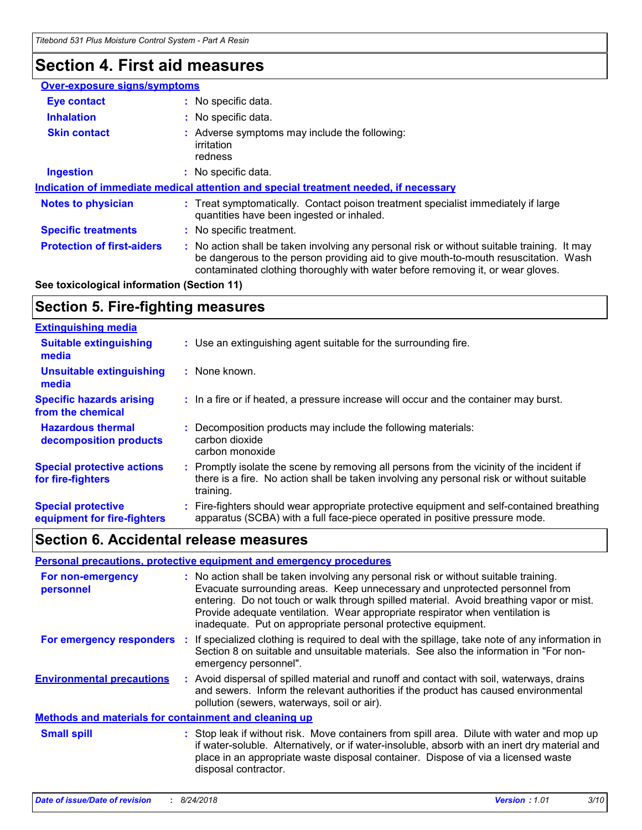## **Section 4. First aid measures**

| : No specific data.                                                                                                                                                                                                                                                 |
|---------------------------------------------------------------------------------------------------------------------------------------------------------------------------------------------------------------------------------------------------------------------|
| No specific data.                                                                                                                                                                                                                                                   |
| Adverse symptoms may include the following:<br>irritation<br>redness                                                                                                                                                                                                |
| : No specific data.                                                                                                                                                                                                                                                 |
| Indication of immediate medical attention and special treatment needed, if necessary                                                                                                                                                                                |
| Treat symptomatically. Contact poison treatment specialist immediately if large<br>quantities have been ingested or inhaled.                                                                                                                                        |
| No specific treatment.                                                                                                                                                                                                                                              |
| No action shall be taken involving any personal risk or without suitable training. It may<br>be dangerous to the person providing aid to give mouth-to-mouth resuscitation. Wash<br>contaminated clothing thoroughly with water before removing it, or wear gloves. |
| <b>Over-exposure signs/symptoms</b>                                                                                                                                                                                                                                 |

### **See toxicological information (Section 11)**

## **Section 5. Fire-fighting measures**

| <b>Extinguishing media</b>                               |                                                                                                                                                                                                   |
|----------------------------------------------------------|---------------------------------------------------------------------------------------------------------------------------------------------------------------------------------------------------|
| <b>Suitable extinguishing</b><br>media                   | : Use an extinguishing agent suitable for the surrounding fire.                                                                                                                                   |
| Unsuitable extinguishing<br>media                        | : None known.                                                                                                                                                                                     |
| <b>Specific hazards arising</b><br>from the chemical     | : In a fire or if heated, a pressure increase will occur and the container may burst.                                                                                                             |
| <b>Hazardous thermal</b><br>decomposition products       | Decomposition products may include the following materials:<br>carbon dioxide<br>carbon monoxide                                                                                                  |
| <b>Special protective actions</b><br>for fire-fighters   | Promptly isolate the scene by removing all persons from the vicinity of the incident if<br>there is a fire. No action shall be taken involving any personal risk or without suitable<br>training. |
| <b>Special protective</b><br>equipment for fire-fighters | Fire-fighters should wear appropriate protective equipment and self-contained breathing<br>apparatus (SCBA) with a full face-piece operated in positive pressure mode.                            |

## **Section 6. Accidental release measures**

|                                                              |     | Personal precautions, protective equipment and emergency procedures                                                                                                                                                                                                                                                                                                                                              |  |  |
|--------------------------------------------------------------|-----|------------------------------------------------------------------------------------------------------------------------------------------------------------------------------------------------------------------------------------------------------------------------------------------------------------------------------------------------------------------------------------------------------------------|--|--|
| For non-emergency<br>personnel                               |     | : No action shall be taken involving any personal risk or without suitable training.<br>Evacuate surrounding areas. Keep unnecessary and unprotected personnel from<br>entering. Do not touch or walk through spilled material. Avoid breathing vapor or mist.<br>Provide adequate ventilation. Wear appropriate respirator when ventilation is<br>inadequate. Put on appropriate personal protective equipment. |  |  |
| For emergency responders                                     | -11 | If specialized clothing is required to deal with the spillage, take note of any information in<br>Section 8 on suitable and unsuitable materials. See also the information in "For non-<br>emergency personnel".                                                                                                                                                                                                 |  |  |
| <b>Environmental precautions</b>                             |     | : Avoid dispersal of spilled material and runoff and contact with soil, waterways, drains<br>and sewers. Inform the relevant authorities if the product has caused environmental<br>pollution (sewers, waterways, soil or air).                                                                                                                                                                                  |  |  |
| <b>Methods and materials for containment and cleaning up</b> |     |                                                                                                                                                                                                                                                                                                                                                                                                                  |  |  |
| <b>Small spill</b>                                           |     | : Stop leak if without risk. Move containers from spill area. Dilute with water and mop up<br>if water-soluble. Alternatively, or if water-insoluble, absorb with an inert dry material and<br>place in an appropriate waste disposal container. Dispose of via a licensed waste<br>disposal contractor.                                                                                                         |  |  |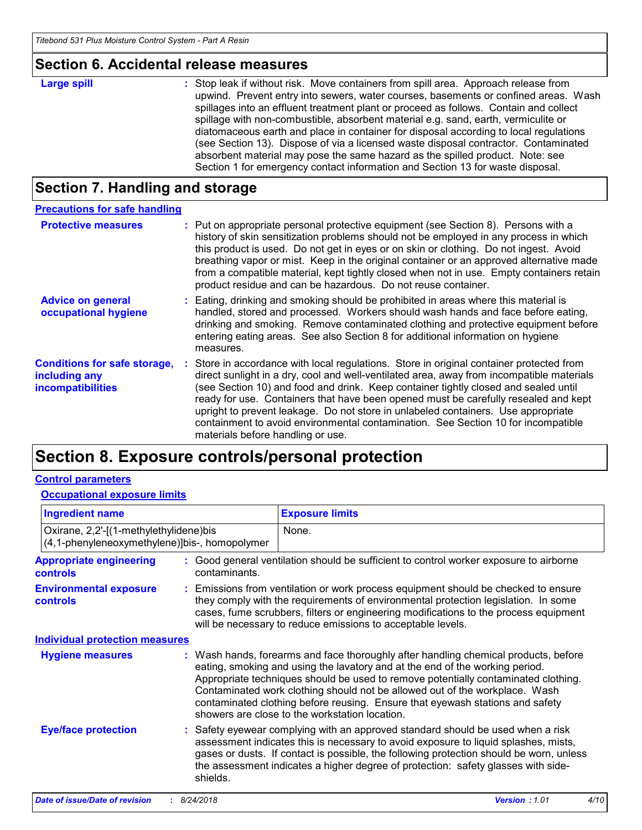## **Section 6. Accidental release measures**

| <b>Large spill</b> | : Stop leak if without risk. Move containers from spill area. Approach release from<br>upwind. Prevent entry into sewers, water courses, basements or confined areas. Wash<br>spillages into an effluent treatment plant or proceed as follows. Contain and collect<br>spillage with non-combustible, absorbent material e.g. sand, earth, vermiculite or<br>diatomaceous earth and place in container for disposal according to local regulations<br>(see Section 13). Dispose of via a licensed waste disposal contractor. Contaminated<br>absorbent material may pose the same hazard as the spilled product. Note: see |
|--------------------|----------------------------------------------------------------------------------------------------------------------------------------------------------------------------------------------------------------------------------------------------------------------------------------------------------------------------------------------------------------------------------------------------------------------------------------------------------------------------------------------------------------------------------------------------------------------------------------------------------------------------|
|                    | Section 1 for emergency contact information and Section 13 for waste disposal.                                                                                                                                                                                                                                                                                                                                                                                                                                                                                                                                             |

## **Section 7. Handling and storage**

| <b>Precautions for safe handling</b>                                             |                                                                                                                                                                                                                                                                                                                                                                                                                                                                                                                                                                                    |
|----------------------------------------------------------------------------------|------------------------------------------------------------------------------------------------------------------------------------------------------------------------------------------------------------------------------------------------------------------------------------------------------------------------------------------------------------------------------------------------------------------------------------------------------------------------------------------------------------------------------------------------------------------------------------|
| <b>Protective measures</b>                                                       | : Put on appropriate personal protective equipment (see Section 8). Persons with a<br>history of skin sensitization problems should not be employed in any process in which<br>this product is used. Do not get in eyes or on skin or clothing. Do not ingest. Avoid<br>breathing vapor or mist. Keep in the original container or an approved alternative made<br>from a compatible material, kept tightly closed when not in use. Empty containers retain<br>product residue and can be hazardous. Do not reuse container.                                                       |
| <b>Advice on general</b><br>occupational hygiene                                 | : Eating, drinking and smoking should be prohibited in areas where this material is<br>handled, stored and processed. Workers should wash hands and face before eating,<br>drinking and smoking. Remove contaminated clothing and protective equipment before<br>entering eating areas. See also Section 8 for additional information on hygiene<br>measures.                                                                                                                                                                                                                      |
| <b>Conditions for safe storage,</b><br>including any<br><b>incompatibilities</b> | : Store in accordance with local regulations. Store in original container protected from<br>direct sunlight in a dry, cool and well-ventilated area, away from incompatible materials<br>(see Section 10) and food and drink. Keep container tightly closed and sealed until<br>ready for use. Containers that have been opened must be carefully resealed and kept<br>upright to prevent leakage. Do not store in unlabeled containers. Use appropriate<br>containment to avoid environmental contamination. See Section 10 for incompatible<br>materials before handling or use. |

## **Section 8. Exposure controls/personal protection**

### **Control parameters**

### **Occupational exposure limits**

| <b>Ingredient name</b>                                                                  |  |               | <b>Exposure limits</b>                                                                                                                                                                                                                                                                                                                                                                                                                                                      |
|-----------------------------------------------------------------------------------------|--|---------------|-----------------------------------------------------------------------------------------------------------------------------------------------------------------------------------------------------------------------------------------------------------------------------------------------------------------------------------------------------------------------------------------------------------------------------------------------------------------------------|
| Oxirane, 2,2'-[(1-methylethylidene)bis<br>(4,1-phenyleneoxymethylene)]bis-, homopolymer |  |               | None.                                                                                                                                                                                                                                                                                                                                                                                                                                                                       |
| <b>Appropriate engineering</b><br><b>controls</b>                                       |  | contaminants. | : Good general ventilation should be sufficient to control worker exposure to airborne                                                                                                                                                                                                                                                                                                                                                                                      |
| <b>Environmental exposure</b><br><b>controls</b>                                        |  |               | : Emissions from ventilation or work process equipment should be checked to ensure<br>they comply with the requirements of environmental protection legislation. In some<br>cases, fume scrubbers, filters or engineering modifications to the process equipment<br>will be necessary to reduce emissions to acceptable levels.                                                                                                                                             |
| <b>Individual protection measures</b>                                                   |  |               |                                                                                                                                                                                                                                                                                                                                                                                                                                                                             |
| <b>Hygiene measures</b>                                                                 |  |               | : Wash hands, forearms and face thoroughly after handling chemical products, before<br>eating, smoking and using the lavatory and at the end of the working period.<br>Appropriate techniques should be used to remove potentially contaminated clothing.<br>Contaminated work clothing should not be allowed out of the workplace. Wash<br>contaminated clothing before reusing. Ensure that eyewash stations and safety<br>showers are close to the workstation location. |
| <b>Eye/face protection</b>                                                              |  | shields.      | : Safety eyewear complying with an approved standard should be used when a risk<br>assessment indicates this is necessary to avoid exposure to liquid splashes, mists,<br>gases or dusts. If contact is possible, the following protection should be worn, unless<br>the assessment indicates a higher degree of protection: safety glasses with side-                                                                                                                      |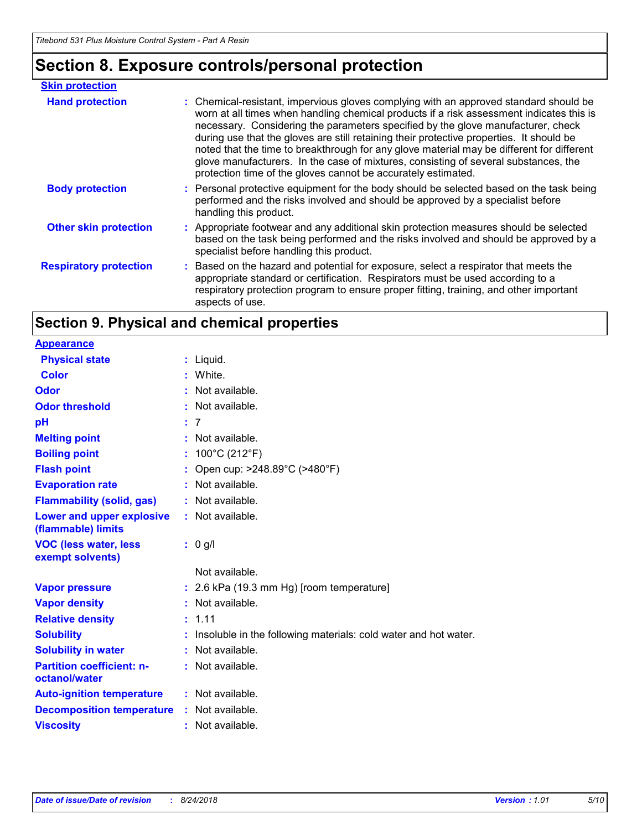## **Section 8. Exposure controls/personal protection**

| <b>Skin protection</b>        |                                                                                                                                                                                                                                                                                                                                                                                                                                                                                                                                                                                                                        |
|-------------------------------|------------------------------------------------------------------------------------------------------------------------------------------------------------------------------------------------------------------------------------------------------------------------------------------------------------------------------------------------------------------------------------------------------------------------------------------------------------------------------------------------------------------------------------------------------------------------------------------------------------------------|
| <b>Hand protection</b>        | : Chemical-resistant, impervious gloves complying with an approved standard should be<br>worn at all times when handling chemical products if a risk assessment indicates this is<br>necessary. Considering the parameters specified by the glove manufacturer, check<br>during use that the gloves are still retaining their protective properties. It should be<br>noted that the time to breakthrough for any glove material may be different for different<br>glove manufacturers. In the case of mixtures, consisting of several substances, the<br>protection time of the gloves cannot be accurately estimated. |
| <b>Body protection</b>        | : Personal protective equipment for the body should be selected based on the task being<br>performed and the risks involved and should be approved by a specialist before<br>handling this product.                                                                                                                                                                                                                                                                                                                                                                                                                    |
| <b>Other skin protection</b>  | : Appropriate footwear and any additional skin protection measures should be selected<br>based on the task being performed and the risks involved and should be approved by a<br>specialist before handling this product.                                                                                                                                                                                                                                                                                                                                                                                              |
| <b>Respiratory protection</b> | : Based on the hazard and potential for exposure, select a respirator that meets the<br>appropriate standard or certification. Respirators must be used according to a<br>respiratory protection program to ensure proper fitting, training, and other important<br>aspects of use.                                                                                                                                                                                                                                                                                                                                    |

## **Section 9. Physical and chemical properties**

**Physical state Melting point Vapor pressure Relative density Vapor density Solubility** Liquid. **: :** Not available. 1.11 **: :** Insoluble in the following materials: cold water and hot water. **Odor** : Not available. **pH Color** White. **: Evaporation rate Auto-ignition temperature Flash point** : Open cup: >248.89°C (>480°F) 7 **: Viscosity Odor threshold Partition coefficient: noctanol/water :** Not available. **:** 2.6 kPa (19.3 mm Hg) [room temperature] **:** Not available. **:** Not available. **:** Not available. **:** Not available. **:** Not available. **Appearance Boiling point :** 100°C (212°F) **Flammability (solid, gas) : Lower and upper explosive (flammable) limits :** Not available. **Decomposition temperature : Solubility in water :** Not available. **VOC (less water, less exempt solvents) :** 0 g/l : Not available. : Not available. Not available.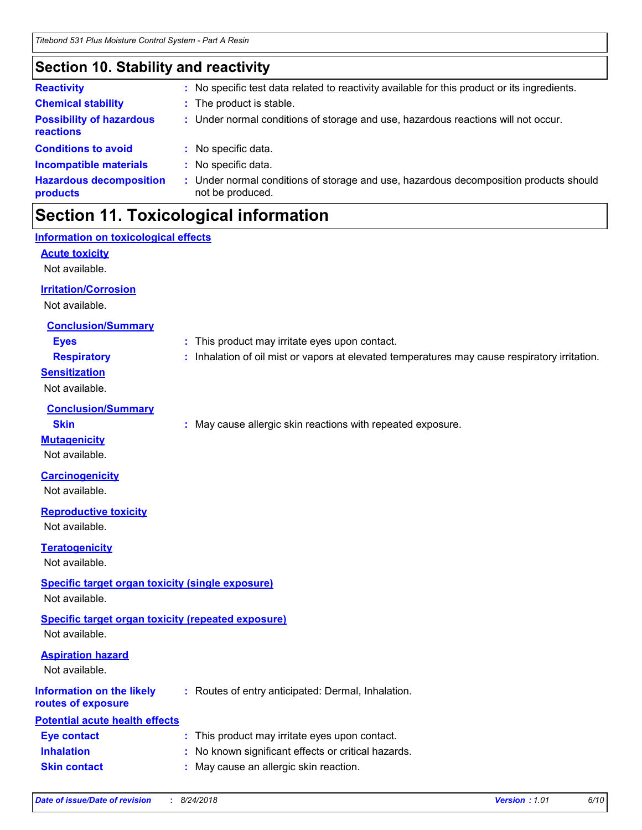## **Section 10. Stability and reactivity**

| <b>Reactivity</b>                            |    | No specific test data related to reactivity available for this product or its ingredients.                |
|----------------------------------------------|----|-----------------------------------------------------------------------------------------------------------|
| <b>Chemical stability</b>                    | t. | The product is stable.                                                                                    |
| <b>Possibility of hazardous</b><br>reactions |    | : Under normal conditions of storage and use, hazardous reactions will not occur.                         |
| <b>Conditions to avoid</b>                   |    | No specific data.                                                                                         |
| <b>Incompatible materials</b>                | t. | No specific data.                                                                                         |
| <b>Hazardous decomposition</b><br>products   |    | : Under normal conditions of storage and use, hazardous decomposition products should<br>not be produced. |

## **Section 11. Toxicological information**

### **Acute toxicity** Not available. **Carcinogenicity** Not available. **Mutagenicity** Not available. **Teratogenicity** Not available. **Reproductive toxicity** Not available. **Irritation/Corrosion** Not available. **Conclusion/Summary Eyes :** This product may irritate eyes upon contact. **Respiratory :** Inhalation of oil mist or vapors at elevated temperatures may cause respiratory irritation. **Sensitization** Not available. **Conclusion/Summary Skin Example 20 :** May cause allergic skin reactions with repeated exposure. **Information on the likely routes of exposure Inhalation :** No known significant effects or critical hazards. **Skin contact :** May cause an allergic skin reaction. **Eye contact :** This product may irritate eyes upon contact. **Specific target organ toxicity (single exposure) Specific target organ toxicity (repeated exposure)** Not available. Not available. **Aspiration hazard** Not available. **Information on toxicological effects :** Routes of entry anticipated: Dermal, Inhalation. **Potential acute health effects**

| Date of issue/Date of revision | 8/24/2018 | 1.01<br><b>Version</b> | 6/10 |
|--------------------------------|-----------|------------------------|------|
|                                |           |                        |      |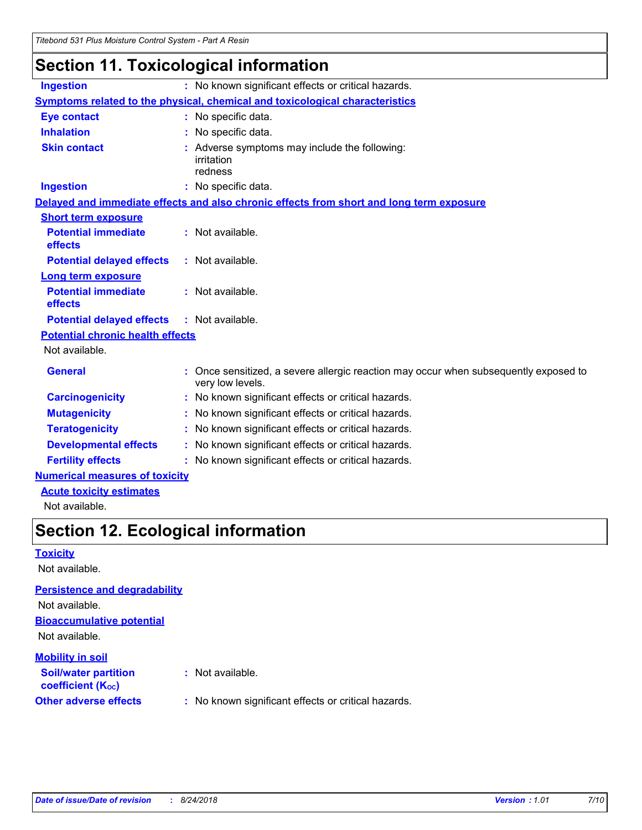## **Section 11. Toxicological information**

| <b>Ingestion</b>                        | : No known significant effects or critical hazards.                                                    |
|-----------------------------------------|--------------------------------------------------------------------------------------------------------|
|                                         | Symptoms related to the physical, chemical and toxicological characteristics                           |
| <b>Eye contact</b>                      | : No specific data.                                                                                    |
| <b>Inhalation</b>                       | : No specific data.                                                                                    |
| <b>Skin contact</b>                     | : Adverse symptoms may include the following:<br>irritation<br>redness                                 |
| <b>Ingestion</b>                        | : No specific data.                                                                                    |
|                                         | Delayed and immediate effects and also chronic effects from short and long term exposure               |
| <b>Short term exposure</b>              |                                                                                                        |
| <b>Potential immediate</b><br>effects   | : Not available.                                                                                       |
| <b>Potential delayed effects</b>        | : Not available.                                                                                       |
| Long term exposure                      |                                                                                                        |
| <b>Potential immediate</b><br>effects   | : Not available.                                                                                       |
| <b>Potential delayed effects</b>        | : Not available.                                                                                       |
| <b>Potential chronic health effects</b> |                                                                                                        |
| Not available.                          |                                                                                                        |
| <b>General</b>                          | Once sensitized, a severe allergic reaction may occur when subsequently exposed to<br>very low levels. |
| <b>Carcinogenicity</b>                  | : No known significant effects or critical hazards.                                                    |
| <b>Mutagenicity</b>                     | : No known significant effects or critical hazards.                                                    |
| <b>Teratogenicity</b>                   | : No known significant effects or critical hazards.                                                    |
| <b>Developmental effects</b>            | : No known significant effects or critical hazards.                                                    |
| <b>Fertility effects</b>                | : No known significant effects or critical hazards.                                                    |
| <b>Numerical measures of toxicity</b>   |                                                                                                        |
|                                         |                                                                                                        |

**Acute toxicity estimates**

Not available.

## **Section 12. Ecological information**

### **Toxicity**

Not available.

### **Persistence and degradability**

Not available.

### **Bioaccumulative potential**

Not available.

### **Mobility in soil**

| --- <i>--</i> -------------<br><b>Soil/water partition</b><br>coefficient (K <sub>oc</sub> ) | : Not available.                                    |
|----------------------------------------------------------------------------------------------|-----------------------------------------------------|
| <b>Other adverse effects</b>                                                                 | : No known significant effects or critical hazards. |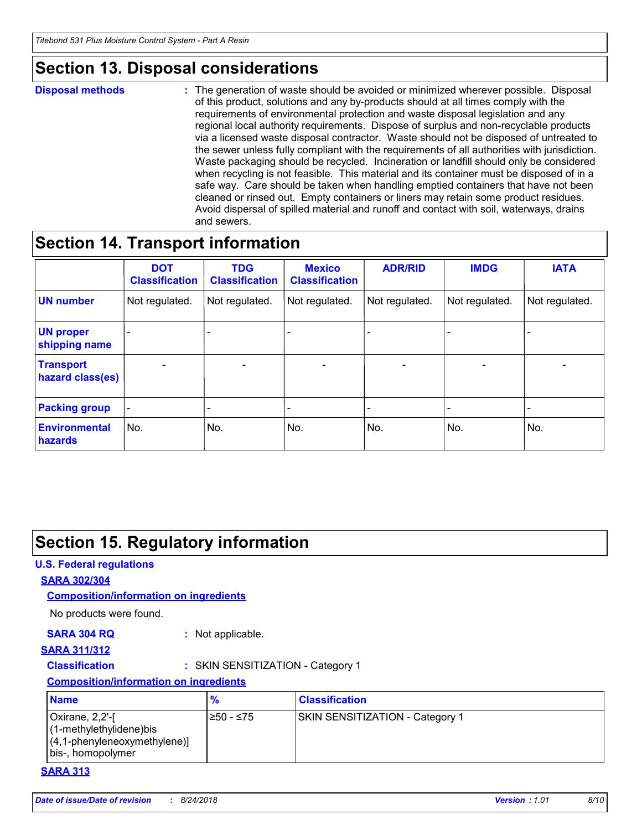## **Section 13. Disposal considerations**

**Disposal methods :**

The generation of waste should be avoided or minimized wherever possible. Disposal of this product, solutions and any by-products should at all times comply with the requirements of environmental protection and waste disposal legislation and any regional local authority requirements. Dispose of surplus and non-recyclable products via a licensed waste disposal contractor. Waste should not be disposed of untreated to the sewer unless fully compliant with the requirements of all authorities with jurisdiction. Waste packaging should be recycled. Incineration or landfill should only be considered when recycling is not feasible. This material and its container must be disposed of in a safe way. Care should be taken when handling emptied containers that have not been cleaned or rinsed out. Empty containers or liners may retain some product residues. Avoid dispersal of spilled material and runoff and contact with soil, waterways, drains and sewers.

## **Section 14. Transport information**

|                                      | <b>DOT</b><br><b>Classification</b> | <b>TDG</b><br><b>Classification</b> | <b>Mexico</b><br><b>Classification</b> | <b>ADR/RID</b>           | <b>IMDG</b>     | <b>IATA</b>              |
|--------------------------------------|-------------------------------------|-------------------------------------|----------------------------------------|--------------------------|-----------------|--------------------------|
| <b>UN number</b>                     | Not regulated.                      | Not regulated.                      | Not regulated.                         | Not regulated.           | Not regulated.  | Not regulated.           |
| <b>UN proper</b><br>shipping name    |                                     |                                     |                                        |                          |                 |                          |
| <b>Transport</b><br>hazard class(es) | $\overline{\phantom{m}}$            | $\overline{\phantom{0}}$            | $\overline{\phantom{a}}$               | $\overline{\phantom{a}}$ | $\qquad \qquad$ | $\overline{\phantom{0}}$ |
| <b>Packing group</b>                 | $\qquad \qquad \blacksquare$        |                                     |                                        |                          |                 |                          |
| <b>Environmental</b><br>hazards      | No.                                 | No.                                 | No.                                    | No.                      | No.             | No.                      |

## **Section 15. Regulatory information**

### **U.S. Federal regulations**

### **SARA 302/304**

### **Composition/information on ingredients**

No products were found.

### **SARA 304 RQ :** Not applicable.

### **SARA 311/312**

**Classification :** SKIN SENSITIZATION - Category 1

**Composition/information on ingredients**

| <b>Name</b>                                                                                          | $\frac{9}{6}$ | <b>Classification</b>                  |
|------------------------------------------------------------------------------------------------------|---------------|----------------------------------------|
| Oxirane, 2,2'-[<br>$(1-methylethylidene)$ bis<br>$(4,1$ -phenyleneoxymethylene)<br>bis-, homopolymer | l≥50 - ≤75    | <b>SKIN SENSITIZATION - Category 1</b> |

### **SARA 313**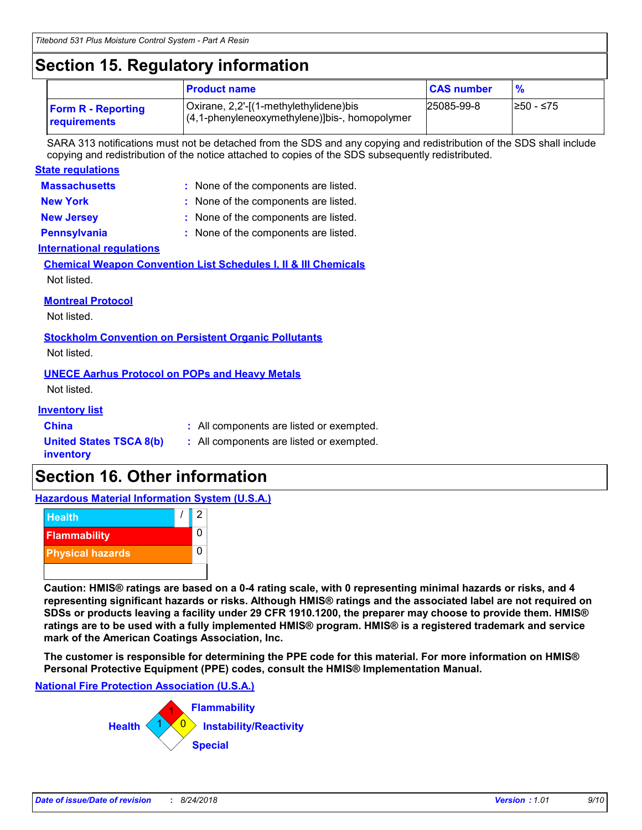## **Section 15. Regulatory information**

|                                           | <b>Product name</b>                                                                     | <b>CAS number</b> | $\frac{9}{6}$ |
|-------------------------------------------|-----------------------------------------------------------------------------------------|-------------------|---------------|
| <b>Form R - Reporting</b><br>requirements | Oxirane, 2,2'-[(1-methylethylidene)bis<br>(4,1-phenyleneoxymethylene)]bis-, homopolymer | 25085-99-8        | I≥50 - ≤75    |

SARA 313 notifications must not be detached from the SDS and any copying and redistribution of the SDS shall include copying and redistribution of the notice attached to copies of the SDS subsequently redistributed.

| <b>State regulations</b>                                             |                                                                            |
|----------------------------------------------------------------------|----------------------------------------------------------------------------|
| <b>Massachusetts</b>                                                 | : None of the components are listed.                                       |
| <b>New York</b>                                                      | None of the components are listed.                                         |
| <b>New Jersey</b>                                                    | None of the components are listed.                                         |
| <b>Pennsylvania</b>                                                  | : None of the components are listed.                                       |
| International regulations                                            |                                                                            |
|                                                                      | <b>Chemical Weapon Convention List Schedules I, II &amp; III Chemicals</b> |
| Not listed.                                                          |                                                                            |
| <b>Montreal Protocol</b><br>Not listed.                              |                                                                            |
|                                                                      | <b>Stockholm Convention on Persistent Organic Pollutants</b>               |
| Not listed.                                                          |                                                                            |
| <b>UNECE Aarhus Protocol on POPs and Heavy Metals</b><br>Not listed. |                                                                            |
| <u>Inventory list</u>                                                |                                                                            |
| China                                                                | : All components are listed or exempted.                                   |

**United States TSCA 8(b) inventory**

- **:** All components are listed or exempted.
- **Section 16. Other information**

### **Hazardous Material Information System (U.S.A.)**



**Caution: HMIS® ratings are based on a 0-4 rating scale, with 0 representing minimal hazards or risks, and 4 representing significant hazards or risks. Although HMIS® ratings and the associated label are not required on SDSs or products leaving a facility under 29 CFR 1910.1200, the preparer may choose to provide them. HMIS® ratings are to be used with a fully implemented HMIS® program. HMIS® is a registered trademark and service mark of the American Coatings Association, Inc.**

**The customer is responsible for determining the PPE code for this material. For more information on HMIS® Personal Protective Equipment (PPE) codes, consult the HMIS® Implementation Manual.**

### **National Fire Protection Association (U.S.A.)**

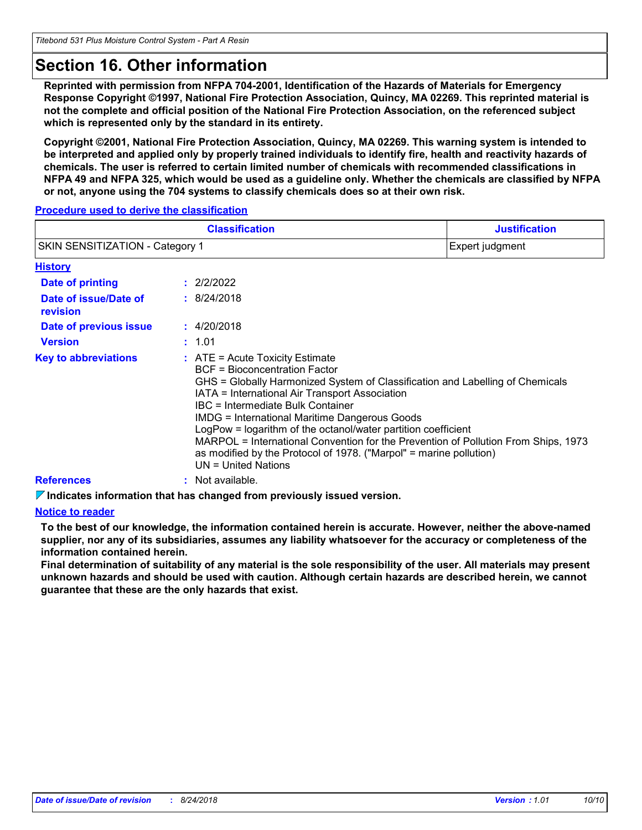## **Section 16. Other information**

**Reprinted with permission from NFPA 704-2001, Identification of the Hazards of Materials for Emergency Response Copyright ©1997, National Fire Protection Association, Quincy, MA 02269. This reprinted material is not the complete and official position of the National Fire Protection Association, on the referenced subject which is represented only by the standard in its entirety.**

**Copyright ©2001, National Fire Protection Association, Quincy, MA 02269. This warning system is intended to be interpreted and applied only by properly trained individuals to identify fire, health and reactivity hazards of chemicals. The user is referred to certain limited number of chemicals with recommended classifications in NFPA 49 and NFPA 325, which would be used as a guideline only. Whether the chemicals are classified by NFPA or not, anyone using the 704 systems to classify chemicals does so at their own risk.**

### **Procedure used to derive the classification**

|                                   |  | <b>Classification</b>                                                                                                                                                                                                                                                                                                                                                                                                                                                                                                                                             | <b>Justification</b> |
|-----------------------------------|--|-------------------------------------------------------------------------------------------------------------------------------------------------------------------------------------------------------------------------------------------------------------------------------------------------------------------------------------------------------------------------------------------------------------------------------------------------------------------------------------------------------------------------------------------------------------------|----------------------|
| SKIN SENSITIZATION - Category 1   |  | Expert judgment                                                                                                                                                                                                                                                                                                                                                                                                                                                                                                                                                   |                      |
| <b>History</b>                    |  |                                                                                                                                                                                                                                                                                                                                                                                                                                                                                                                                                                   |                      |
| <b>Date of printing</b>           |  | : 2/2/2022                                                                                                                                                                                                                                                                                                                                                                                                                                                                                                                                                        |                      |
| Date of issue/Date of<br>revision |  | : 8/24/2018                                                                                                                                                                                                                                                                                                                                                                                                                                                                                                                                                       |                      |
| Date of previous issue            |  | : 4/20/2018                                                                                                                                                                                                                                                                                                                                                                                                                                                                                                                                                       |                      |
| <b>Version</b>                    |  | : 1.01                                                                                                                                                                                                                                                                                                                                                                                                                                                                                                                                                            |                      |
| <b>Key to abbreviations</b>       |  | $\therefore$ ATE = Acute Toxicity Estimate<br>BCF = Bioconcentration Factor<br>GHS = Globally Harmonized System of Classification and Labelling of Chemicals<br>IATA = International Air Transport Association<br>IBC = Intermediate Bulk Container<br><b>IMDG = International Maritime Dangerous Goods</b><br>LogPow = logarithm of the octanol/water partition coefficient<br>MARPOL = International Convention for the Prevention of Pollution From Ships, 1973<br>as modified by the Protocol of 1978. ("Marpol" = marine pollution)<br>$UN = United Nations$ |                      |
| <b>References</b>                 |  | : Not available.                                                                                                                                                                                                                                                                                                                                                                                                                                                                                                                                                  |                      |

**Indicates information that has changed from previously issued version.**

### **Notice to reader**

**To the best of our knowledge, the information contained herein is accurate. However, neither the above-named supplier, nor any of its subsidiaries, assumes any liability whatsoever for the accuracy or completeness of the information contained herein.**

**Final determination of suitability of any material is the sole responsibility of the user. All materials may present unknown hazards and should be used with caution. Although certain hazards are described herein, we cannot guarantee that these are the only hazards that exist.**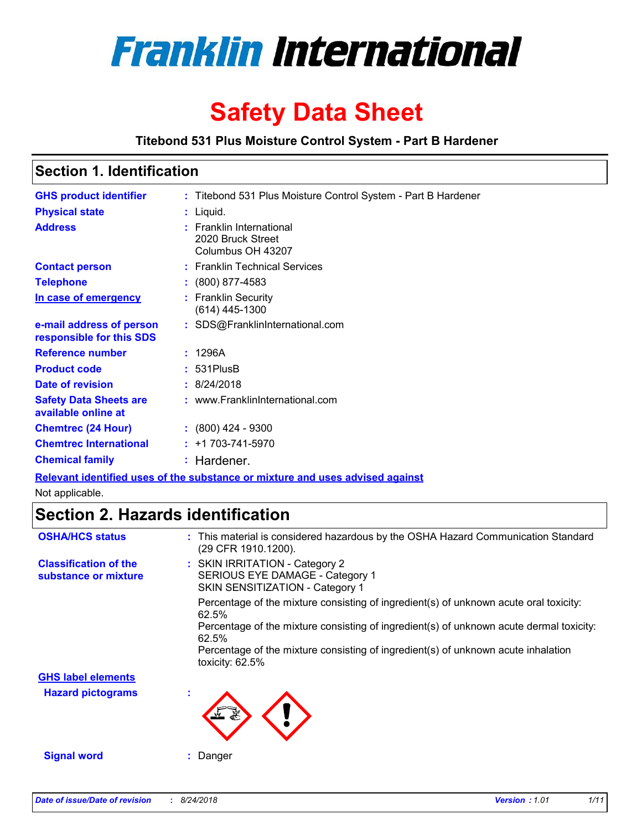

# **Safety Data Sheet**

**Titebond 531 Plus Moisture Control System - Part B Hardener**

## **Section 1. Identification**

| : Titebond 531 Plus Moisture Control System - Part B Hardener                                           |
|---------------------------------------------------------------------------------------------------------|
| : Liquid.                                                                                               |
| : Franklin International<br>2020 Bruck Street<br>Columbus OH 43207                                      |
| : Franklin Technical Services                                                                           |
| $: (800) 877 - 4583$                                                                                    |
| : Franklin Security<br>(614) 445-1300                                                                   |
| : SDS@FranklinInternational.com                                                                         |
| : 1296A                                                                                                 |
| $: 531$ PlusB                                                                                           |
| : 8/24/2018                                                                                             |
| : www.FranklinInternational.com                                                                         |
| $: (800)$ 424 - 9300                                                                                    |
| $: +1703 - 741 - 5970$                                                                                  |
| : Hardener.                                                                                             |
| Photo considered March considered discussions and considered and considered and considered and constant |

**Relevant identified uses of the substance or mixture and uses advised against**

Not applicable.

## **Section 2. Hazards identification**

| <b>OSHA/HCS status</b>                               | : This material is considered hazardous by the OSHA Hazard Communication Standard<br>(29 CFR 1910.1200). |
|------------------------------------------------------|----------------------------------------------------------------------------------------------------------|
| <b>Classification of the</b><br>substance or mixture | : SKIN IRRITATION - Category 2<br>SERIOUS EYE DAMAGE - Category 1<br>SKIN SENSITIZATION - Category 1     |
|                                                      | Percentage of the mixture consisting of ingredient(s) of unknown acute oral toxicity:<br>62.5%           |
|                                                      | Percentage of the mixture consisting of ingredient(s) of unknown acute dermal toxicity:<br>62.5%         |
|                                                      | Percentage of the mixture consisting of ingredient(s) of unknown acute inhalation<br>toxicity: 62.5%     |
| <b>GHS label elements</b>                            |                                                                                                          |
| <b>Hazard pictograms</b>                             |                                                                                                          |
| <b>Signal word</b>                                   | Danger                                                                                                   |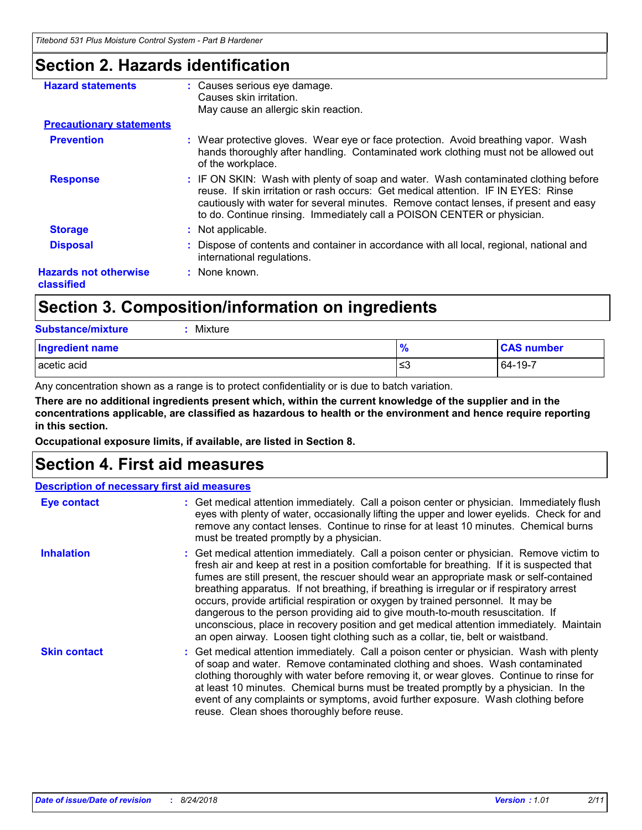## **Section 2. Hazards identification**

| <b>Hazard statements</b>                   | : Causes serious eye damage.<br>Causes skin irritation.<br>May cause an allergic skin reaction.                                                                                                                                                                                                                                               |
|--------------------------------------------|-----------------------------------------------------------------------------------------------------------------------------------------------------------------------------------------------------------------------------------------------------------------------------------------------------------------------------------------------|
| <b>Precautionary statements</b>            |                                                                                                                                                                                                                                                                                                                                               |
| <b>Prevention</b>                          | : Wear protective gloves. Wear eye or face protection. Avoid breathing vapor. Wash<br>hands thoroughly after handling. Contaminated work clothing must not be allowed out<br>of the workplace.                                                                                                                                                |
| <b>Response</b>                            | : IF ON SKIN: Wash with plenty of soap and water. Wash contaminated clothing before<br>reuse. If skin irritation or rash occurs: Get medical attention. IF IN EYES: Rinse<br>cautiously with water for several minutes. Remove contact lenses, if present and easy<br>to do. Continue rinsing. Immediately call a POISON CENTER or physician. |
| <b>Storage</b>                             | : Not applicable.                                                                                                                                                                                                                                                                                                                             |
| <b>Disposal</b>                            | : Dispose of contents and container in accordance with all local, regional, national and<br>international regulations.                                                                                                                                                                                                                        |
| <b>Hazards not otherwise</b><br>classified | : None known.                                                                                                                                                                                                                                                                                                                                 |

## **Section 3. Composition/information on ingredients**

| <b>Substance/mixture</b><br>Mixture |               |                   |
|-------------------------------------|---------------|-------------------|
| <b>Ingredient name</b>              | $\frac{9}{6}$ | <b>CAS number</b> |
| acetic acid                         | ≲3            | 64-19-7           |

Any concentration shown as a range is to protect confidentiality or is due to batch variation.

**There are no additional ingredients present which, within the current knowledge of the supplier and in the concentrations applicable, are classified as hazardous to health or the environment and hence require reporting in this section.**

**Occupational exposure limits, if available, are listed in Section 8.**

## **Section 4. First aid measures**

|                     | <b>Description of necessary first aid measures</b>                                                                                                                                                                                                                                                                                                                                                                                                                                                                                                                                                                                                                                                                                 |
|---------------------|------------------------------------------------------------------------------------------------------------------------------------------------------------------------------------------------------------------------------------------------------------------------------------------------------------------------------------------------------------------------------------------------------------------------------------------------------------------------------------------------------------------------------------------------------------------------------------------------------------------------------------------------------------------------------------------------------------------------------------|
| <b>Eye contact</b>  | : Get medical attention immediately. Call a poison center or physician. Immediately flush<br>eyes with plenty of water, occasionally lifting the upper and lower eyelids. Check for and<br>remove any contact lenses. Continue to rinse for at least 10 minutes. Chemical burns<br>must be treated promptly by a physician.                                                                                                                                                                                                                                                                                                                                                                                                        |
| <b>Inhalation</b>   | : Get medical attention immediately. Call a poison center or physician. Remove victim to<br>fresh air and keep at rest in a position comfortable for breathing. If it is suspected that<br>fumes are still present, the rescuer should wear an appropriate mask or self-contained<br>breathing apparatus. If not breathing, if breathing is irregular or if respiratory arrest<br>occurs, provide artificial respiration or oxygen by trained personnel. It may be<br>dangerous to the person providing aid to give mouth-to-mouth resuscitation. If<br>unconscious, place in recovery position and get medical attention immediately. Maintain<br>an open airway. Loosen tight clothing such as a collar, tie, belt or waistband. |
| <b>Skin contact</b> | : Get medical attention immediately. Call a poison center or physician. Wash with plenty<br>of soap and water. Remove contaminated clothing and shoes. Wash contaminated<br>clothing thoroughly with water before removing it, or wear gloves. Continue to rinse for<br>at least 10 minutes. Chemical burns must be treated promptly by a physician. In the<br>event of any complaints or symptoms, avoid further exposure. Wash clothing before<br>reuse. Clean shoes thoroughly before reuse.                                                                                                                                                                                                                                    |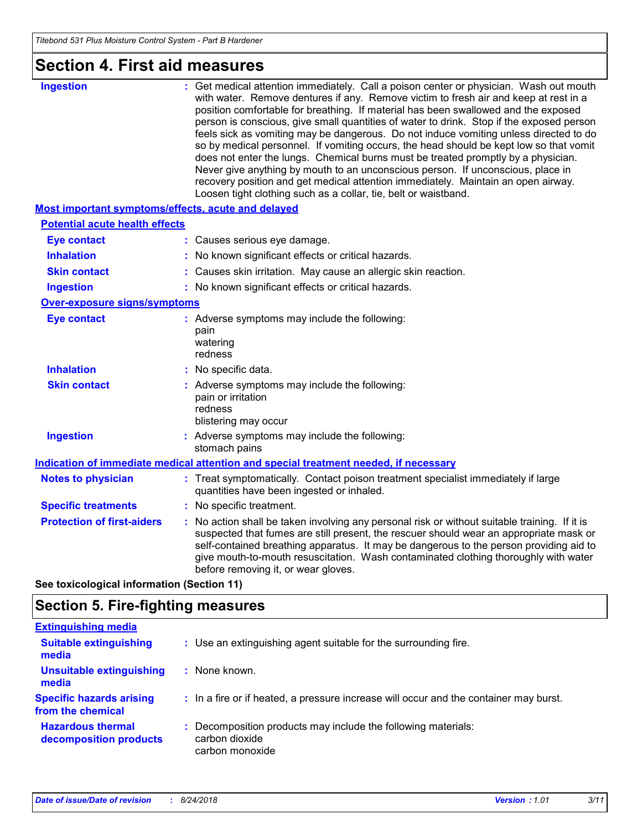## **Section 4. First aid measures**

| <b>Ingestion</b>                                          | Get medical attention immediately. Call a poison center or physician. Wash out mouth<br>with water. Remove dentures if any. Remove victim to fresh air and keep at rest in a<br>position comfortable for breathing. If material has been swallowed and the exposed<br>person is conscious, give small quantities of water to drink. Stop if the exposed person<br>feels sick as vomiting may be dangerous. Do not induce vomiting unless directed to do<br>so by medical personnel. If vomiting occurs, the head should be kept low so that vomit<br>does not enter the lungs. Chemical burns must be treated promptly by a physician.<br>Never give anything by mouth to an unconscious person. If unconscious, place in<br>recovery position and get medical attention immediately. Maintain an open airway.<br>Loosen tight clothing such as a collar, tie, belt or waistband. |  |
|-----------------------------------------------------------|-----------------------------------------------------------------------------------------------------------------------------------------------------------------------------------------------------------------------------------------------------------------------------------------------------------------------------------------------------------------------------------------------------------------------------------------------------------------------------------------------------------------------------------------------------------------------------------------------------------------------------------------------------------------------------------------------------------------------------------------------------------------------------------------------------------------------------------------------------------------------------------|--|
| <b>Most important symptoms/effects, acute and delayed</b> |                                                                                                                                                                                                                                                                                                                                                                                                                                                                                                                                                                                                                                                                                                                                                                                                                                                                                   |  |
| <b>Potential acute health effects</b>                     |                                                                                                                                                                                                                                                                                                                                                                                                                                                                                                                                                                                                                                                                                                                                                                                                                                                                                   |  |
| <b>Eye contact</b>                                        | : Causes serious eye damage.                                                                                                                                                                                                                                                                                                                                                                                                                                                                                                                                                                                                                                                                                                                                                                                                                                                      |  |
| <b>Inhalation</b>                                         | No known significant effects or critical hazards.                                                                                                                                                                                                                                                                                                                                                                                                                                                                                                                                                                                                                                                                                                                                                                                                                                 |  |
| <b>Skin contact</b>                                       | Causes skin irritation. May cause an allergic skin reaction.                                                                                                                                                                                                                                                                                                                                                                                                                                                                                                                                                                                                                                                                                                                                                                                                                      |  |
| <b>Ingestion</b>                                          | : No known significant effects or critical hazards.                                                                                                                                                                                                                                                                                                                                                                                                                                                                                                                                                                                                                                                                                                                                                                                                                               |  |
| Over-exposure signs/symptoms                              |                                                                                                                                                                                                                                                                                                                                                                                                                                                                                                                                                                                                                                                                                                                                                                                                                                                                                   |  |
| <b>Eye contact</b>                                        | : Adverse symptoms may include the following:<br>pain<br>watering<br>redness                                                                                                                                                                                                                                                                                                                                                                                                                                                                                                                                                                                                                                                                                                                                                                                                      |  |
| <b>Inhalation</b>                                         | : No specific data.                                                                                                                                                                                                                                                                                                                                                                                                                                                                                                                                                                                                                                                                                                                                                                                                                                                               |  |
| <b>Skin contact</b>                                       | : Adverse symptoms may include the following:<br>pain or irritation<br>redness<br>blistering may occur                                                                                                                                                                                                                                                                                                                                                                                                                                                                                                                                                                                                                                                                                                                                                                            |  |
| <b>Ingestion</b>                                          | : Adverse symptoms may include the following:<br>stomach pains                                                                                                                                                                                                                                                                                                                                                                                                                                                                                                                                                                                                                                                                                                                                                                                                                    |  |
|                                                           | Indication of immediate medical attention and special treatment needed, if necessary                                                                                                                                                                                                                                                                                                                                                                                                                                                                                                                                                                                                                                                                                                                                                                                              |  |
| <b>Notes to physician</b>                                 | : Treat symptomatically. Contact poison treatment specialist immediately if large<br>quantities have been ingested or inhaled.                                                                                                                                                                                                                                                                                                                                                                                                                                                                                                                                                                                                                                                                                                                                                    |  |
| <b>Specific treatments</b>                                | No specific treatment.                                                                                                                                                                                                                                                                                                                                                                                                                                                                                                                                                                                                                                                                                                                                                                                                                                                            |  |
| <b>Protection of first-aiders</b>                         | No action shall be taken involving any personal risk or without suitable training. If it is<br>suspected that fumes are still present, the rescuer should wear an appropriate mask or<br>self-contained breathing apparatus. It may be dangerous to the person providing aid to<br>give mouth-to-mouth resuscitation. Wash contaminated clothing thoroughly with water<br>before removing it, or wear gloves.                                                                                                                                                                                                                                                                                                                                                                                                                                                                     |  |

**See toxicological information (Section 11)**

## **Section 5. Fire-fighting measures**

| <b>Extinguishing media</b>                           |                                                                                                    |  |
|------------------------------------------------------|----------------------------------------------------------------------------------------------------|--|
| <b>Suitable extinguishing</b><br>media               | : Use an extinguishing agent suitable for the surrounding fire.                                    |  |
| <b>Unsuitable extinguishing</b><br>media             | : None known.                                                                                      |  |
| <b>Specific hazards arising</b><br>from the chemical | : In a fire or if heated, a pressure increase will occur and the container may burst.              |  |
| <b>Hazardous thermal</b><br>decomposition products   | : Decomposition products may include the following materials:<br>carbon dioxide<br>carbon monoxide |  |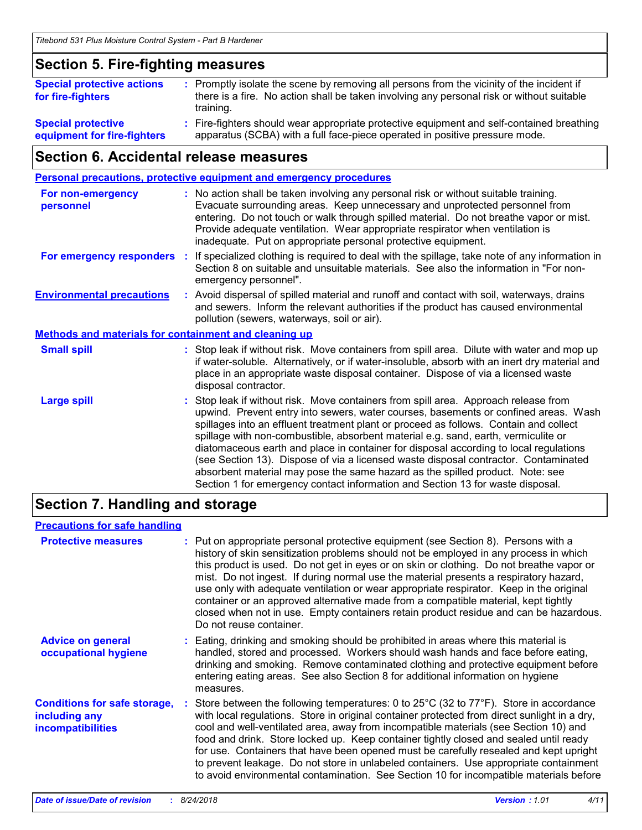### **Section 5. Fire-fighting measures :** Promptly isolate the scene by removing all persons from the vicinity of the incident if there is a fire. No action shall be taken involving any personal risk or without suitable training. Fire-fighters should wear appropriate protective equipment and self-contained breathing **: Special protective Special protective actions for fire-fighters**

apparatus (SCBA) with a full face-piece operated in positive pressure mode. **equipment for fire-fighters**

## **Section 6. Accidental release measures**

|                                                       | <b>Personal precautions, protective equipment and emergency procedures</b>                                                                                                                                                                                                                                                                                                                                                                                                                                                                                                                                                                                                                                   |
|-------------------------------------------------------|--------------------------------------------------------------------------------------------------------------------------------------------------------------------------------------------------------------------------------------------------------------------------------------------------------------------------------------------------------------------------------------------------------------------------------------------------------------------------------------------------------------------------------------------------------------------------------------------------------------------------------------------------------------------------------------------------------------|
| For non-emergency<br>personnel                        | : No action shall be taken involving any personal risk or without suitable training.<br>Evacuate surrounding areas. Keep unnecessary and unprotected personnel from<br>entering. Do not touch or walk through spilled material. Do not breathe vapor or mist.<br>Provide adequate ventilation. Wear appropriate respirator when ventilation is<br>inadequate. Put on appropriate personal protective equipment.                                                                                                                                                                                                                                                                                              |
| For emergency responders                              | : If specialized clothing is required to deal with the spillage, take note of any information in<br>Section 8 on suitable and unsuitable materials. See also the information in "For non-<br>emergency personnel".                                                                                                                                                                                                                                                                                                                                                                                                                                                                                           |
| <b>Environmental precautions</b>                      | : Avoid dispersal of spilled material and runoff and contact with soil, waterways, drains<br>and sewers. Inform the relevant authorities if the product has caused environmental<br>pollution (sewers, waterways, soil or air).                                                                                                                                                                                                                                                                                                                                                                                                                                                                              |
| Methods and materials for containment and cleaning up |                                                                                                                                                                                                                                                                                                                                                                                                                                                                                                                                                                                                                                                                                                              |
| <b>Small spill</b>                                    | : Stop leak if without risk. Move containers from spill area. Dilute with water and mop up<br>if water-soluble. Alternatively, or if water-insoluble, absorb with an inert dry material and<br>place in an appropriate waste disposal container. Dispose of via a licensed waste<br>disposal contractor.                                                                                                                                                                                                                                                                                                                                                                                                     |
| <b>Large spill</b>                                    | : Stop leak if without risk. Move containers from spill area. Approach release from<br>upwind. Prevent entry into sewers, water courses, basements or confined areas. Wash<br>spillages into an effluent treatment plant or proceed as follows. Contain and collect<br>spillage with non-combustible, absorbent material e.g. sand, earth, vermiculite or<br>diatomaceous earth and place in container for disposal according to local regulations<br>(see Section 13). Dispose of via a licensed waste disposal contractor. Contaminated<br>absorbent material may pose the same hazard as the spilled product. Note: see<br>Section 1 for emergency contact information and Section 13 for waste disposal. |

## **Section 7. Handling and storage**

### **Precautions for safe handling**

| <b>Protective measures</b>                                                       | : Put on appropriate personal protective equipment (see Section 8). Persons with a<br>history of skin sensitization problems should not be employed in any process in which<br>this product is used. Do not get in eyes or on skin or clothing. Do not breathe vapor or<br>mist. Do not ingest. If during normal use the material presents a respiratory hazard,<br>use only with adequate ventilation or wear appropriate respirator. Keep in the original<br>container or an approved alternative made from a compatible material, kept tightly<br>closed when not in use. Empty containers retain product residue and can be hazardous.<br>Do not reuse container.    |
|----------------------------------------------------------------------------------|--------------------------------------------------------------------------------------------------------------------------------------------------------------------------------------------------------------------------------------------------------------------------------------------------------------------------------------------------------------------------------------------------------------------------------------------------------------------------------------------------------------------------------------------------------------------------------------------------------------------------------------------------------------------------|
| <b>Advice on general</b><br>occupational hygiene                                 | : Eating, drinking and smoking should be prohibited in areas where this material is<br>handled, stored and processed. Workers should wash hands and face before eating,<br>drinking and smoking. Remove contaminated clothing and protective equipment before<br>entering eating areas. See also Section 8 for additional information on hygiene<br>measures.                                                                                                                                                                                                                                                                                                            |
| <b>Conditions for safe storage,</b><br>including any<br><b>incompatibilities</b> | : Store between the following temperatures: 0 to $25^{\circ}$ C (32 to $77^{\circ}$ F). Store in accordance<br>with local regulations. Store in original container protected from direct sunlight in a dry,<br>cool and well-ventilated area, away from incompatible materials (see Section 10) and<br>food and drink. Store locked up. Keep container tightly closed and sealed until ready<br>for use. Containers that have been opened must be carefully resealed and kept upright<br>to prevent leakage. Do not store in unlabeled containers. Use appropriate containment<br>to avoid environmental contamination. See Section 10 for incompatible materials before |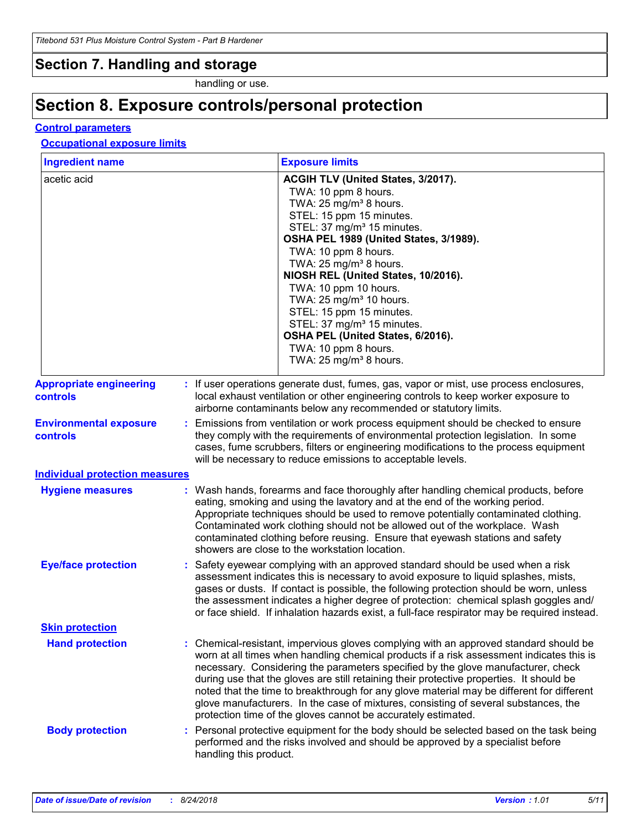### **Section 7. Handling and storage**

handling or use.

## **Section 8. Exposure controls/personal protection**

### **Control parameters**

### **Occupational exposure limits**

| <b>Ingredient name</b>                     | <b>Exposure limits</b>                                                                                                                                                                                                                                                                                                                                                                                                                                                                                                                                                                                                 |  |  |
|--------------------------------------------|------------------------------------------------------------------------------------------------------------------------------------------------------------------------------------------------------------------------------------------------------------------------------------------------------------------------------------------------------------------------------------------------------------------------------------------------------------------------------------------------------------------------------------------------------------------------------------------------------------------------|--|--|
| acetic acid                                | ACGIH TLV (United States, 3/2017).<br>TWA: 10 ppm 8 hours.<br>TWA: 25 mg/m <sup>3</sup> 8 hours.<br>STEL: 15 ppm 15 minutes.<br>STEL: 37 mg/m <sup>3</sup> 15 minutes.<br>OSHA PEL 1989 (United States, 3/1989).<br>TWA: 10 ppm 8 hours.<br>TWA: 25 mg/m <sup>3</sup> 8 hours.<br>NIOSH REL (United States, 10/2016).<br>TWA: 10 ppm 10 hours.<br>TWA: 25 mg/m <sup>3</sup> 10 hours.<br>STEL: 15 ppm 15 minutes.<br>STEL: 37 mg/m <sup>3</sup> 15 minutes.<br>OSHA PEL (United States, 6/2016).<br>TWA: 10 ppm 8 hours.<br>TWA: $25 \text{ mg/m}^3$ 8 hours.                                                          |  |  |
| <b>Appropriate engineering</b><br>controls | If user operations generate dust, fumes, gas, vapor or mist, use process enclosures,<br>local exhaust ventilation or other engineering controls to keep worker exposure to<br>airborne contaminants below any recommended or statutory limits.                                                                                                                                                                                                                                                                                                                                                                         |  |  |
| <b>Environmental exposure</b><br>controls  | Emissions from ventilation or work process equipment should be checked to ensure<br>they comply with the requirements of environmental protection legislation. In some<br>cases, fume scrubbers, filters or engineering modifications to the process equipment<br>will be necessary to reduce emissions to acceptable levels.                                                                                                                                                                                                                                                                                          |  |  |
| <b>Individual protection measures</b>      |                                                                                                                                                                                                                                                                                                                                                                                                                                                                                                                                                                                                                        |  |  |
| <b>Hygiene measures</b>                    | Wash hands, forearms and face thoroughly after handling chemical products, before<br>eating, smoking and using the lavatory and at the end of the working period.<br>Appropriate techniques should be used to remove potentially contaminated clothing.<br>Contaminated work clothing should not be allowed out of the workplace. Wash<br>contaminated clothing before reusing. Ensure that eyewash stations and safety<br>showers are close to the workstation location.                                                                                                                                              |  |  |
| <b>Eye/face protection</b>                 | Safety eyewear complying with an approved standard should be used when a risk<br>assessment indicates this is necessary to avoid exposure to liquid splashes, mists,<br>gases or dusts. If contact is possible, the following protection should be worn, unless<br>the assessment indicates a higher degree of protection: chemical splash goggles and/<br>or face shield. If inhalation hazards exist, a full-face respirator may be required instead.                                                                                                                                                                |  |  |
| <b>Skin protection</b>                     |                                                                                                                                                                                                                                                                                                                                                                                                                                                                                                                                                                                                                        |  |  |
| <b>Hand protection</b>                     | : Chemical-resistant, impervious gloves complying with an approved standard should be<br>worn at all times when handling chemical products if a risk assessment indicates this is<br>necessary. Considering the parameters specified by the glove manufacturer, check<br>during use that the gloves are still retaining their protective properties. It should be<br>noted that the time to breakthrough for any glove material may be different for different<br>glove manufacturers. In the case of mixtures, consisting of several substances, the<br>protection time of the gloves cannot be accurately estimated. |  |  |
| <b>Body protection</b>                     | Personal protective equipment for the body should be selected based on the task being<br>performed and the risks involved and should be approved by a specialist before<br>handling this product.                                                                                                                                                                                                                                                                                                                                                                                                                      |  |  |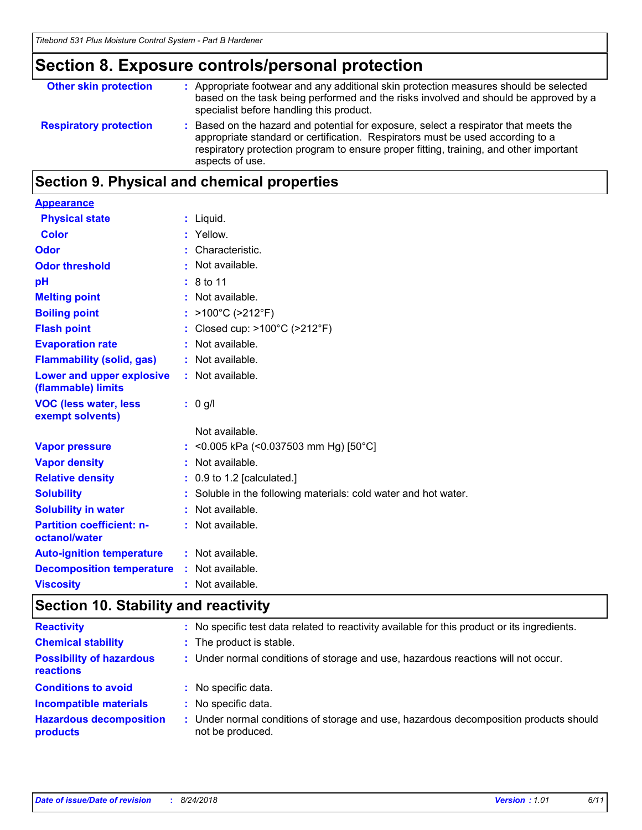## **Section 8. Exposure controls/personal protection**

| <b>Other skin protection</b>  | : Appropriate footwear and any additional skin protection measures should be selected<br>based on the task being performed and the risks involved and should be approved by a<br>specialist before handling this product.                                                           |
|-------------------------------|-------------------------------------------------------------------------------------------------------------------------------------------------------------------------------------------------------------------------------------------------------------------------------------|
| <b>Respiratory protection</b> | : Based on the hazard and potential for exposure, select a respirator that meets the<br>appropriate standard or certification. Respirators must be used according to a<br>respiratory protection program to ensure proper fitting, training, and other important<br>aspects of use. |

## **Section 9. Physical and chemical properties**

| <b>Appearance</b>                                 |                                                                 |
|---------------------------------------------------|-----------------------------------------------------------------|
| <b>Physical state</b>                             | $:$ Liquid.                                                     |
| <b>Color</b>                                      | : Yellow.                                                       |
| Odor                                              | : Characteristic.                                               |
| <b>Odor threshold</b>                             | : Not available.                                                |
| pH                                                | : 8 to 11                                                       |
| <b>Melting point</b>                              | : Not available.                                                |
| <b>Boiling point</b>                              | : >100°C (>212°F)                                               |
| <b>Flash point</b>                                | : Closed cup: $>100^{\circ}$ C ( $>212^{\circ}$ F)              |
| <b>Evaporation rate</b>                           | : Not available.                                                |
| <b>Flammability (solid, gas)</b>                  | : Not available.                                                |
| Lower and upper explosive<br>(flammable) limits   | : Not available.                                                |
| <b>VOC (less water, less</b><br>exempt solvents)  | $: 0$ g/l                                                       |
|                                                   | Not available.                                                  |
| <b>Vapor pressure</b>                             | : < 0.005 kPa (< 0.037503 mm Hg) [50 °C]                        |
| <b>Vapor density</b>                              | : Not available.                                                |
| <b>Relative density</b>                           | $: 0.9$ to 1.2 [calculated.]                                    |
| <b>Solubility</b>                                 | : Soluble in the following materials: cold water and hot water. |
| <b>Solubility in water</b>                        | : Not available.                                                |
| <b>Partition coefficient: n-</b><br>octanol/water | : Not available.                                                |
| <b>Auto-ignition temperature</b>                  | : Not available.                                                |
| <b>Decomposition temperature</b>                  | : Not available.                                                |
| <b>Viscosity</b>                                  | : Not available.                                                |

## **Section 10. Stability and reactivity**

| <b>Reactivity</b>                                   | : No specific test data related to reactivity available for this product or its ingredients.              |
|-----------------------------------------------------|-----------------------------------------------------------------------------------------------------------|
| <b>Chemical stability</b>                           | : The product is stable.                                                                                  |
| <b>Possibility of hazardous</b><br><b>reactions</b> | : Under normal conditions of storage and use, hazardous reactions will not occur.                         |
| <b>Conditions to avoid</b>                          | No specific data.                                                                                         |
| <b>Incompatible materials</b>                       | : No specific data.                                                                                       |
| <b>Hazardous decomposition</b><br>products          | : Under normal conditions of storage and use, hazardous decomposition products should<br>not be produced. |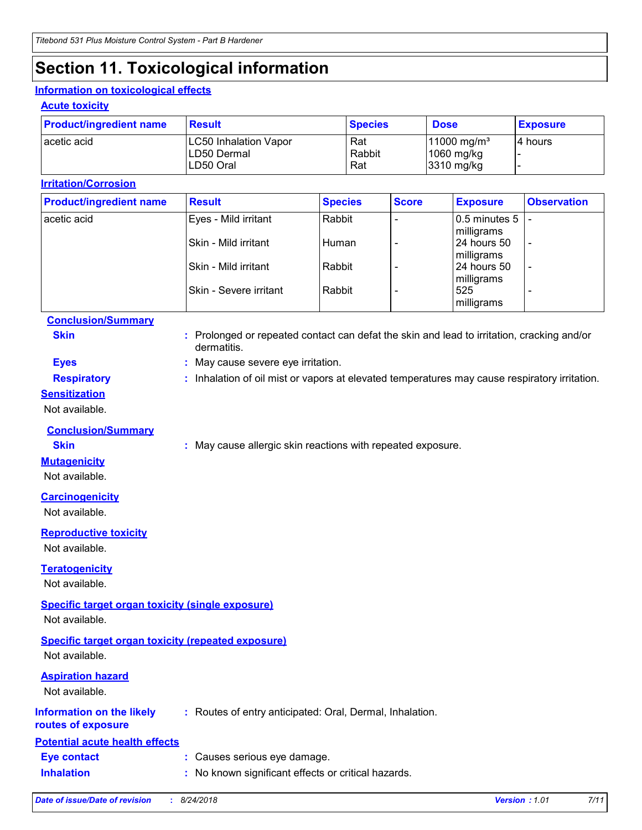# **Section 11. Toxicological information**

### **Information on toxicological effects**

### **Acute toxicity**

| <b>Product/ingredient name</b> | <b>Result</b>                                            | <b>Species</b>       | <b>Dose</b>                                             | <b>Exposure</b> |
|--------------------------------|----------------------------------------------------------|----------------------|---------------------------------------------------------|-----------------|
| l acetic acid                  | <b>LC50 Inhalation Vapor</b><br>LD50 Dermal<br>LD50 Oral | Rat<br>Rabbit<br>Rat | $11000 \,\mathrm{mg/m^3}$<br>$1060$ mg/kg<br>3310 mg/kg | I4 hours        |

### **Irritation/Corrosion**

| <b>Product/ingredient name</b> | <b>Result</b>                 | <b>Species</b> | <b>Score</b> | <b>Exposure</b>       | <b>Observation</b>       |
|--------------------------------|-------------------------------|----------------|--------------|-----------------------|--------------------------|
| acetic acid                    | Eyes - Mild irritant          | Rabbit         |              | $ 0.5$ minutes $5$  - |                          |
|                                |                               |                |              | milligrams            |                          |
|                                | Skin - Mild irritant          | Human          |              | 24 hours 50           | $\overline{\phantom{a}}$ |
|                                |                               |                |              | milligrams            |                          |
|                                | Skin - Mild irritant          | Rabbit         |              | 24 hours 50           | $\overline{\phantom{a}}$ |
|                                |                               |                |              | milligrams            |                          |
|                                | <b>Skin - Severe irritant</b> | Rabbit         |              | 525                   | ۰                        |
|                                |                               |                |              | milligrams            |                          |

**Skin :** Prolonged or repeated contact can defat the skin and lead to irritation, cracking and/or

### **Conclusion/Summary**

|                                                           | dermatitis.                                                                                   |
|-----------------------------------------------------------|-----------------------------------------------------------------------------------------------|
| <b>Eyes</b>                                               | : May cause severe eye irritation.                                                            |
| <b>Respiratory</b>                                        | : Inhalation of oil mist or vapors at elevated temperatures may cause respiratory irritation. |
| <b>Sensitization</b>                                      |                                                                                               |
| Not available.                                            |                                                                                               |
| <b>Conclusion/Summary</b>                                 |                                                                                               |
| <b>Skin</b>                                               | : May cause allergic skin reactions with repeated exposure.                                   |
| <b>Mutagenicity</b>                                       |                                                                                               |
| Not available.                                            |                                                                                               |
| <b>Carcinogenicity</b>                                    |                                                                                               |
| Not available.                                            |                                                                                               |
| <b>Reproductive toxicity</b>                              |                                                                                               |
| Not available.                                            |                                                                                               |
| <b>Teratogenicity</b>                                     |                                                                                               |
| Not available.                                            |                                                                                               |
| <b>Specific target organ toxicity (single exposure)</b>   |                                                                                               |
| Not available.                                            |                                                                                               |
|                                                           |                                                                                               |
| <b>Specific target organ toxicity (repeated exposure)</b> |                                                                                               |
| Not available.                                            |                                                                                               |
| <b>Aspiration hazard</b>                                  |                                                                                               |
| Not available.                                            |                                                                                               |
| <b>Information on the likely</b>                          | : Routes of entry anticipated: Oral, Dermal, Inhalation.                                      |
| routes of exposure                                        |                                                                                               |
| <b>Potential acute health effects</b>                     |                                                                                               |
| <b>Eye contact</b>                                        | : Causes serious eye damage.                                                                  |
| <b>Inhalation</b>                                         | : No known significant effects or critical hazards.                                           |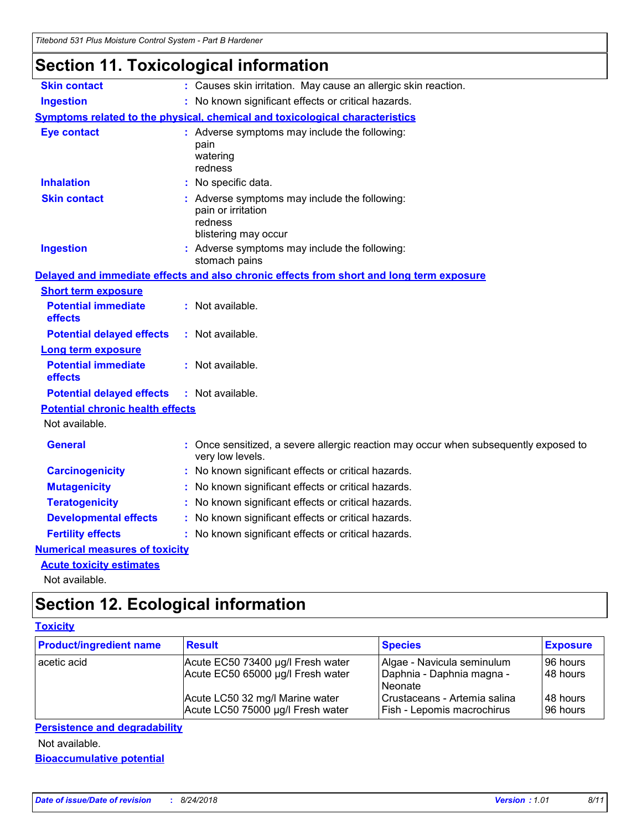## **Section 11. Toxicological information**

| <b>Skin contact</b>                                       | : Causes skin irritation. May cause an allergic skin reaction.                                           |
|-----------------------------------------------------------|----------------------------------------------------------------------------------------------------------|
| <b>Ingestion</b>                                          | : No known significant effects or critical hazards.                                                      |
|                                                           | Symptoms related to the physical, chemical and toxicological characteristics                             |
| <b>Eye contact</b>                                        | : Adverse symptoms may include the following:<br>pain<br>watering<br>redness                             |
| <b>Inhalation</b>                                         | No specific data.                                                                                        |
| <b>Skin contact</b>                                       | : Adverse symptoms may include the following:<br>pain or irritation<br>redness<br>blistering may occur   |
| <b>Ingestion</b>                                          | : Adverse symptoms may include the following:<br>stomach pains                                           |
|                                                           | Delayed and immediate effects and also chronic effects from short and long term exposure                 |
| <b>Short term exposure</b>                                |                                                                                                          |
| <b>Potential immediate</b><br>effects                     | : Not available.                                                                                         |
| <b>Potential delayed effects</b>                          | : Not available.                                                                                         |
| <b>Long term exposure</b>                                 |                                                                                                          |
| <b>Potential immediate</b><br>effects                     | : Not available.                                                                                         |
| <b>Potential delayed effects</b>                          | : Not available.                                                                                         |
| <b>Potential chronic health effects</b><br>Not available. |                                                                                                          |
| <b>General</b>                                            | : Once sensitized, a severe allergic reaction may occur when subsequently exposed to<br>very low levels. |
| <b>Carcinogenicity</b>                                    | : No known significant effects or critical hazards.                                                      |
| <b>Mutagenicity</b>                                       | No known significant effects or critical hazards.                                                        |
| <b>Teratogenicity</b>                                     | No known significant effects or critical hazards.                                                        |
| <b>Developmental effects</b>                              | : No known significant effects or critical hazards.                                                      |
| <b>Fertility effects</b>                                  | : No known significant effects or critical hazards.                                                      |
| <b>Numerical measures of toxicity</b>                     |                                                                                                          |
| <b>Acute toxicity estimates</b>                           |                                                                                                          |

Not available.

## **Section 12. Ecological information**

### **Toxicity**

| <b>Product/ingredient name</b> | <b>Result</b>                                                        | <b>Species</b>                                                    | <b>Exposure</b>      |
|--------------------------------|----------------------------------------------------------------------|-------------------------------------------------------------------|----------------------|
| acetic acid                    | Acute EC50 73400 µg/l Fresh water                                    | Algae - Navicula seminulum                                        | 96 hours             |
|                                | Acute EC50 65000 µg/l Fresh water                                    | Daphnia - Daphnia magna -<br>Neonate                              | I48 hours            |
|                                | Acute LC50 32 mg/l Marine water<br>Acute LC50 75000 µg/l Fresh water | Crustaceans - Artemia salina<br><b>Fish - Lepomis macrochirus</b> | 48 hours<br>96 hours |

### **Persistence and degradability**

Not available.

**Bioaccumulative potential**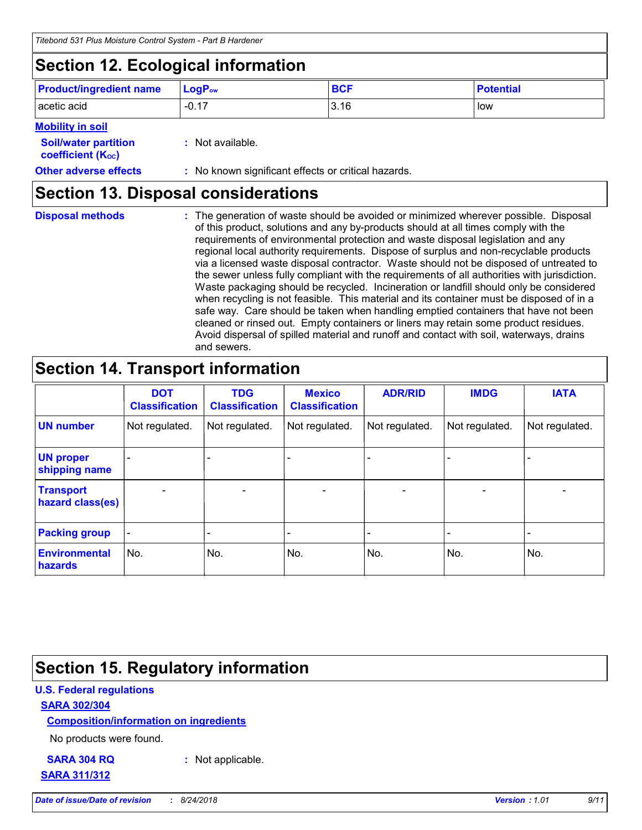## **Section 12. Ecological information**

| <b>Product/ingredient name</b> | $ LogP_{ow} $ | <b>BCF</b> | <b>Potential</b> |
|--------------------------------|---------------|------------|------------------|
| acetic acid                    | $-0.17$       | 3.16       | low              |

### **Mobility in soil**

| <b>Soil/water partition</b><br>coefficient (K <sub>oc</sub> ) | : Not available.                                    |
|---------------------------------------------------------------|-----------------------------------------------------|
| <b>Other adverse effects</b>                                  | : No known significant effects or critical hazards. |

## **Section 13. Disposal considerations**

| <b>Disposal methods</b> | : The generation of waste should be avoided or minimized wherever possible. Disposal<br>of this product, solutions and any by-products should at all times comply with the<br>requirements of environmental protection and waste disposal legislation and any<br>regional local authority requirements. Dispose of surplus and non-recyclable products<br>via a licensed waste disposal contractor. Waste should not be disposed of untreated to<br>the sewer unless fully compliant with the requirements of all authorities with jurisdiction.<br>Waste packaging should be recycled. Incineration or landfill should only be considered<br>when recycling is not feasible. This material and its container must be disposed of in a<br>safe way. Care should be taken when handling emptied containers that have not been<br>cleaned or rinsed out. Empty containers or liners may retain some product residues.<br>Avoid dispersal of spilled material and runoff and contact with soil, waterways, drains |
|-------------------------|----------------------------------------------------------------------------------------------------------------------------------------------------------------------------------------------------------------------------------------------------------------------------------------------------------------------------------------------------------------------------------------------------------------------------------------------------------------------------------------------------------------------------------------------------------------------------------------------------------------------------------------------------------------------------------------------------------------------------------------------------------------------------------------------------------------------------------------------------------------------------------------------------------------------------------------------------------------------------------------------------------------|
|                         | and sewers.                                                                                                                                                                                                                                                                                                                                                                                                                                                                                                                                                                                                                                                                                                                                                                                                                                                                                                                                                                                                    |

## **Section 14. Transport information**

|                                      | <b>DOT</b><br><b>Classification</b> | <b>TDG</b><br><b>Classification</b> | <b>Mexico</b><br><b>Classification</b> | <b>ADR/RID</b> | <b>IMDG</b>    | <b>IATA</b>    |
|--------------------------------------|-------------------------------------|-------------------------------------|----------------------------------------|----------------|----------------|----------------|
| <b>UN number</b>                     | Not regulated.                      | Not regulated.                      | Not regulated.                         | Not regulated. | Not regulated. | Not regulated. |
| <b>UN proper</b><br>shipping name    | $\blacksquare$                      |                                     |                                        |                |                |                |
| <b>Transport</b><br>hazard class(es) |                                     | $\blacksquare$                      | $\overline{\phantom{0}}$               |                | $\blacksquare$ |                |
| <b>Packing group</b>                 | $\qquad \qquad \blacksquare$        | -                                   | -                                      |                |                |                |
| <b>Environmental</b><br>hazards      | No.                                 | No.                                 | No.                                    | No.            | No.            | No.            |

## **Section 15. Regulatory information**

### **U.S. Federal regulations**

### **SARA 302/304**

**Composition/information on ingredients**

No products were found.

# **SARA 311/312**

**SARA 304 RQ :** Not applicable.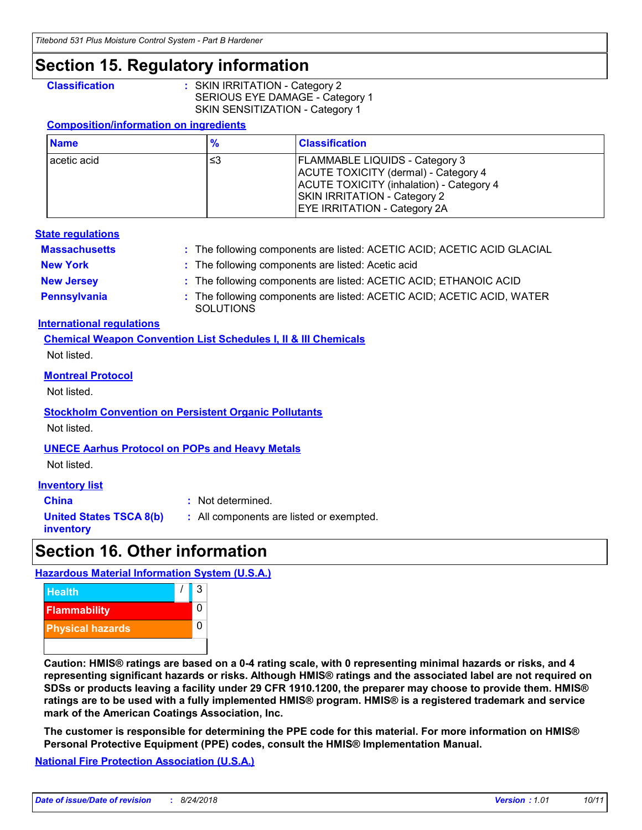## **Section 15. Regulatory information**

**Classification :** SKIN IRRITATION - Category 2 SERIOUS EYE DAMAGE - Category 1 SKIN SENSITIZATION - Category 1

### **Composition/information on ingredients**

| <b>Name</b> | %  | <b>Classification</b>                                                                                                                                                                                   |
|-------------|----|---------------------------------------------------------------------------------------------------------------------------------------------------------------------------------------------------------|
| acetic acid | ≤3 | <b>FLAMMABLE LIQUIDS - Category 3</b><br>ACUTE TOXICITY (dermal) - Category 4<br>ACUTE TOXICITY (inhalation) - Category 4<br><b>SKIN IRRITATION - Category 2</b><br><b>EYE IRRITATION - Category 2A</b> |

### **State regulations**

| <b>Massachusetts</b> | : The following components are listed: ACETIC ACID; ACETIC ACID GLACIAL                    |
|----------------------|--------------------------------------------------------------------------------------------|
| <b>New York</b>      | : The following components are listed: Acetic acid                                         |
| <b>New Jersey</b>    | : The following components are listed: ACETIC ACID; ETHANOIC ACID                          |
| Pennsylvania         | : The following components are listed: ACETIC ACID; ACETIC ACID, WATER<br><b>SOLUTIONS</b> |

### **International regulations**

**Chemical Weapon Convention List Schedules I, II & III Chemicals** Not listed.

### **Montreal Protocol**

Not listed.

### **Stockholm Convention on Persistent Organic Pollutants**

Not listed.

### **UNECE Aarhus Protocol on POPs and Heavy Metals**

Not listed.

### **Inventory list**

**China :** Not determined.

**United States TSCA 8(b)**

**inventory**

**:** All components are listed or exempted.

## **Section 16. Other information**

### **Hazardous Material Information System (U.S.A.)**



**Caution: HMIS® ratings are based on a 0-4 rating scale, with 0 representing minimal hazards or risks, and 4 representing significant hazards or risks. Although HMIS® ratings and the associated label are not required on SDSs or products leaving a facility under 29 CFR 1910.1200, the preparer may choose to provide them. HMIS® ratings are to be used with a fully implemented HMIS® program. HMIS® is a registered trademark and service mark of the American Coatings Association, Inc.**

**The customer is responsible for determining the PPE code for this material. For more information on HMIS® Personal Protective Equipment (PPE) codes, consult the HMIS® Implementation Manual.**

**National Fire Protection Association (U.S.A.)**